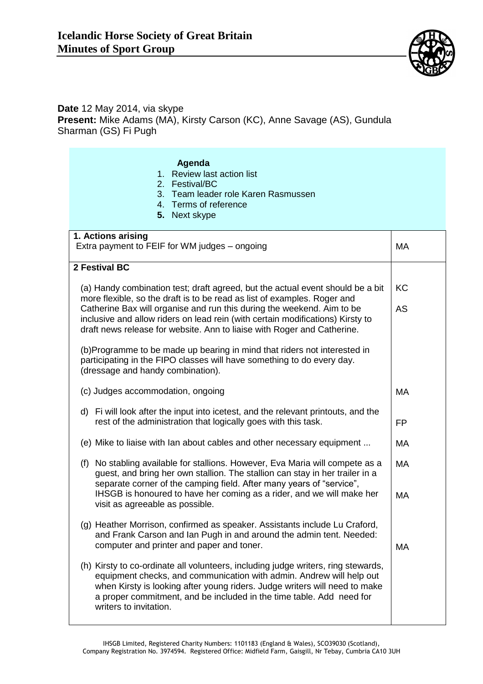

## **Date** 12 May 2014, via skype **Present:** Mike Adams (MA), Kirsty Carson (KC), Anne Savage (AS), Gundula Sharman (GS) Fi Pugh

| Agenda<br>1. Review last action list<br>2. Festival/BC<br>3. Team leader role Karen Rasmussen<br>4. Terms of reference<br>5. Next skype                                                                                                                                                                                                   |           |  |
|-------------------------------------------------------------------------------------------------------------------------------------------------------------------------------------------------------------------------------------------------------------------------------------------------------------------------------------------|-----------|--|
| 1. Actions arising<br>Extra payment to FEIF for WM judges - ongoing                                                                                                                                                                                                                                                                       | <b>MA</b> |  |
| 2 Festival BC                                                                                                                                                                                                                                                                                                                             |           |  |
| (a) Handy combination test; draft agreed, but the actual event should be a bit<br>more flexible, so the draft is to be read as list of examples. Roger and                                                                                                                                                                                | <b>KC</b> |  |
| Catherine Bax will organise and run this during the weekend. Aim to be<br>inclusive and allow riders on lead rein (with certain modifications) Kirsty to<br>draft news release for website. Ann to liaise with Roger and Catherine.                                                                                                       | AS        |  |
| (b)Programme to be made up bearing in mind that riders not interested in<br>participating in the FIPO classes will have something to do every day.<br>(dressage and handy combination).                                                                                                                                                   |           |  |
| (c) Judges accommodation, ongoing                                                                                                                                                                                                                                                                                                         | MA        |  |
| d) Fi will look after the input into icetest, and the relevant printouts, and the<br>rest of the administration that logically goes with this task.                                                                                                                                                                                       | <b>FP</b> |  |
| (e) Mike to liaise with lan about cables and other necessary equipment                                                                                                                                                                                                                                                                    | MA        |  |
| (f) No stabling available for stallions. However, Eva Maria will compete as a<br>guest, and bring her own stallion. The stallion can stay in her trailer in a<br>separate corner of the camping field. After many years of "service",                                                                                                     | <b>MA</b> |  |
| IHSGB is honoured to have her coming as a rider, and we will make her<br>visit as agreeable as possible.                                                                                                                                                                                                                                  | MA        |  |
| (g) Heather Morrison, confirmed as speaker. Assistants include Lu Craford,<br>and Frank Carson and Ian Pugh in and around the admin tent. Needed:<br>computer and printer and paper and toner.                                                                                                                                            | <b>MA</b> |  |
| (h) Kirsty to co-ordinate all volunteers, including judge writers, ring stewards,<br>equipment checks, and communication with admin. Andrew will help out<br>when Kirsty is looking after young riders. Judge writers will need to make<br>a proper commitment, and be included in the time table. Add need for<br>writers to invitation. |           |  |